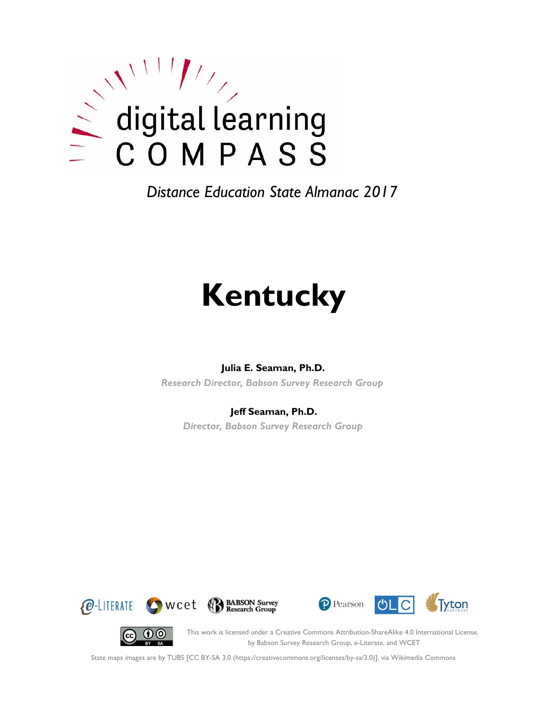

*Distance Education State Almanac 2017*

# **Kentucky**

#### **Julia E. Seaman, Ph.D.**

*Research Director, Babson Survey Research Group*

#### **Jeff Seaman, Ph.D.**

*Director, Babson Survey Research Group*









This work is licensed under a Creative Commons Attribution-ShareAlike 4.0 International License. by Babson Survey Research Group, e-Literate, and WCET

State maps images are by TUBS [CC BY-SA 3.0 (https://creativecommons.org/licenses/by-sa/3.0)], via Wikimedia Commons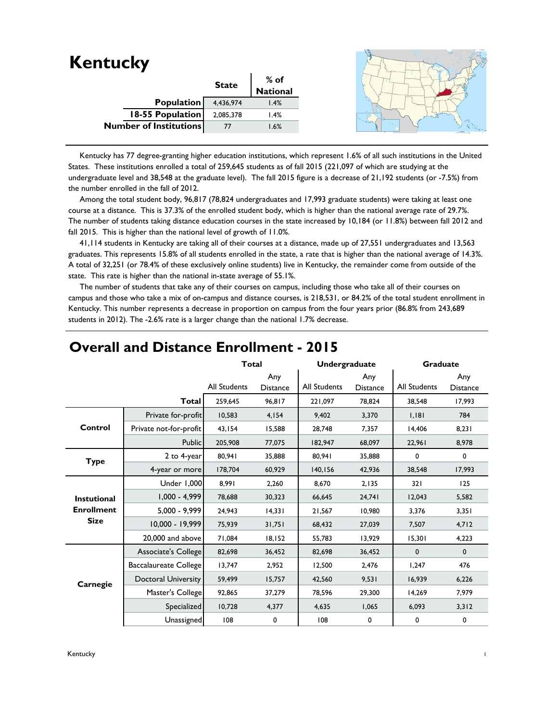| <b>Kentucky</b>               |              |                  |  |
|-------------------------------|--------------|------------------|--|
|                               | <b>State</b> | % of<br>National |  |
|                               |              |                  |  |
| Population                    | 4,436,974    | 1.4%             |  |
| 18-55 Population              | 2,085,378    | 1.4%             |  |
| <b>Number of Institutions</b> | 77           | 1.6%             |  |
|                               |              |                  |  |

 Kentucky has 77 degree-granting higher education institutions, which represent 1.6% of all such institutions in the United States. These institutions enrolled a total of 259,645 students as of fall 2015 (221,097 of which are studying at the undergraduate level and 38,548 at the graduate level). The fall 2015 figure is a decrease of 21,192 students (or -7.5%) from the number enrolled in the fall of 2012.

 Among the total student body, 96,817 (78,824 undergraduates and 17,993 graduate students) were taking at least one course at a distance. This is 37.3% of the enrolled student body, which is higher than the national average rate of 29.7%. The number of students taking distance education courses in the state increased by 10,184 (or 11.8%) between fall 2012 and fall 2015. This is higher than the national level of growth of 11.0%.

 41,114 students in Kentucky are taking all of their courses at a distance, made up of 27,551 undergraduates and 13,563 graduates. This represents 15.8% of all students enrolled in the state, a rate that is higher than the national average of 14.3%. A total of 32,251 (or 78.4% of these exclusively online students) live in Kentucky, the remainder come from outside of the state. This rate is higher than the national in-state average of 55.1%.

 The number of students that take any of their courses on campus, including those who take all of their courses on campus and those who take a mix of on-campus and distance courses, is 218,531, or 84.2% of the total student enrollment in Kentucky. This number represents a decrease in proportion on campus from the four years prior (86.8% from 243,689 students in 2012). The -2.6% rate is a larger change than the national 1.7% decrease.

|                    |                            | <b>Total</b>        |                        | <b>Undergraduate</b> |                        | Graduate     |                        |
|--------------------|----------------------------|---------------------|------------------------|----------------------|------------------------|--------------|------------------------|
|                    |                            | <b>All Students</b> | Any<br><b>Distance</b> | <b>All Students</b>  | Any<br><b>Distance</b> | All Students | Any<br><b>Distance</b> |
|                    | <b>Total</b>               | 259,645             | 96,817                 | 221,097              | 78.824                 | 38.548       | 17,993                 |
|                    | Private for-profit         | 10,583              | 4,154                  | 9.402                | 3,370                  | 1,181        | 784                    |
| Control            | Private not-for-profit     | 43,154              | 15,588                 | 28,748               | 7,357                  | 14,406       | 8,231                  |
|                    | Public                     | 205,908             | 77,075                 | 182,947              | 68,097                 | 22,961       | 8,978                  |
| <b>Type</b>        | 2 to 4-year                | 80,941              | 35,888                 | 80,941               | 35,888                 | 0            | 0                      |
|                    | 4-year or more             | 178,704             | 60,929                 | 140,156              | 42,936                 | 38,548       | 17,993                 |
|                    | Under 1,000                | 8,991               | 2,260                  | 8,670                | 2,135                  | 321          | 125                    |
| <b>Instutional</b> | $1,000 - 4,999$            | 78,688              | 30,323                 | 66,645               | 24,741                 | 12,043       | 5,582                  |
| <b>Enrollment</b>  | 5,000 - 9,999              | 24,943              | 14,331                 | 21,567               | 10.980                 | 3,376        | 3,351                  |
| <b>Size</b>        | 10,000 - 19,999            | 75,939              | 31,751                 | 68,432               | 27,039                 | 7,507        | 4,712                  |
|                    | 20,000 and above           | 71,084              | 18,152                 | 55,783               | 13,929                 | 15,301       | 4,223                  |
|                    | Associate's College        | 82,698              | 36,452                 | 82,698               | 36,452                 | $\mathbf 0$  | $\mathbf 0$            |
|                    | Baccalaureate College      | 13,747              | 2,952                  | 12,500               | 2,476                  | 1,247        | 476                    |
| Carnegie           | <b>Doctoral University</b> | 59,499              | 15,757                 | 42,560               | 9,531                  | 16,939       | 6,226                  |
|                    | Master's College           | 92,865              | 37,279                 | 78,596               | 29,300                 | 14,269       | 7,979                  |
|                    | Specialized                | 10,728              | 4,377                  | 4,635                | 1,065                  | 6,093        | 3,312                  |
|                    | Unassigned                 | 108                 | 0                      | 108                  | 0                      | 0            | 0                      |

#### **Overall and Distance Enrollment - 2015**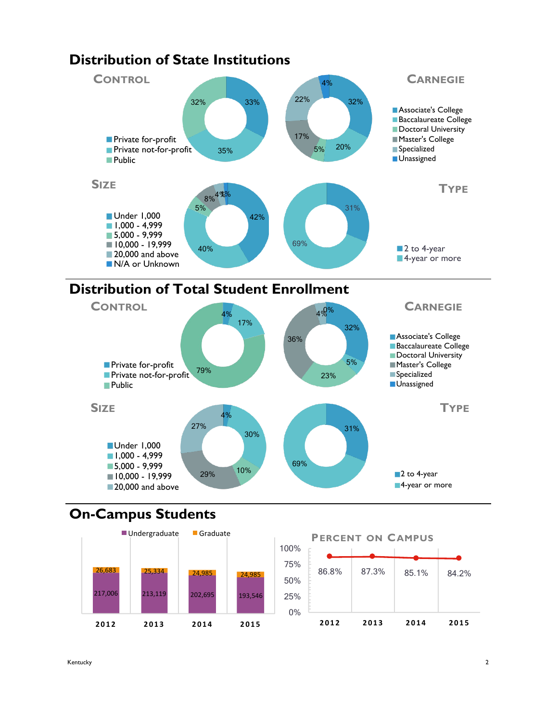

### **Distribution of Total Student Enrollment**



## **On-Campus Students**



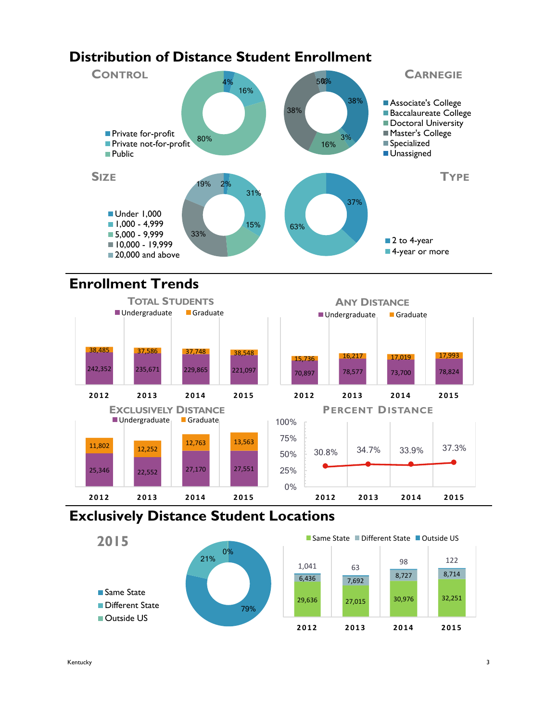## **Distribution of Distance Student Enrollment**



## **Enrollment Trends**



### **Exclusively Distance Student Locations**